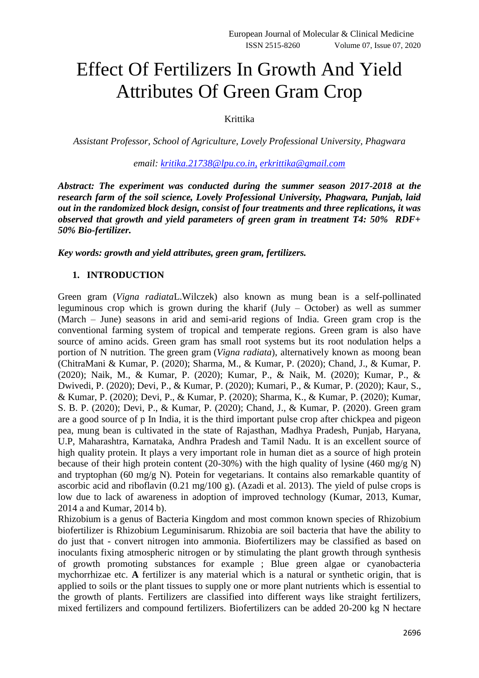# Effect Of Fertilizers In Growth And Yield Attributes Of Green Gram Crop

# Krittika

*Assistant Professor, School of Agriculture, Lovely Professional University, Phagwara*

*email: [kritika.21738@lpu.co.in,](mailto:kritika.21738@lpu.co.in,) [erkrittika@gmail.com](mailto:erkrittika@gmail.com)*

*Abstract: The experiment was conducted during the summer season 2017-2018 at the research farm of the soil science, Lovely Professional University, Phagwara, Punjab, laid out in the randomized block design, consist of four treatments and three replications, it was observed that growth and yield parameters of green gram in treatment T4: 50% RDF+ 50% Bio-fertilizer.*

*Key words: growth and yield attributes, green gram, fertilizers.*

## **1. INTRODUCTION**

Green gram (*Vigna radiata*L.Wilczek) also known as mung bean is a self-pollinated leguminous crop which is grown during the kharif (July – October) as well as summer (March – June) seasons in arid and semi-arid regions of India. Green gram crop is the conventional farming system of tropical and temperate regions. Green gram is also have source of amino acids. Green gram has small root systems but its root nodulation helps a portion of N nutrition. The green gram (*Vigna radiata*), alternatively known as moong bean (ChitraMani & Kumar, P. (2020); Sharma, M., & Kumar, P. (2020); Chand, J., & Kumar, P. (2020); Naik, M., & Kumar, P. (2020); Kumar, P., & Naik, M. (2020); Kumar, P., & Dwivedi, P. (2020); Devi, P., & Kumar, P. (2020); Kumari, P., & Kumar, P. (2020); Kaur, S., & Kumar, P. (2020); Devi, P., & Kumar, P. (2020); Sharma, K., & Kumar, P. (2020); Kumar, S. B. P. (2020); Devi, P., & Kumar, P. (2020); Chand, J., & Kumar, P. (2020). Green gram are a good source of p In India, it is the third important pulse crop after chickpea and pigeon pea, mung bean is cultivated in the state of Rajasthan, Madhya Pradesh, Punjab, Haryana, U.P, Maharashtra, Karnataka, Andhra Pradesh and Tamil Nadu. It is an excellent source of high quality protein. It plays a very important role in human diet as a source of high protein because of their high protein content (20-30%) with the high quality of lysine (460 mg/g N) and tryptophan (60 mg/g N). Potein for vegetarians. It contains also remarkable quantity of ascorbic acid and riboflavin (0.21 mg/100 g). (Azadi et al. 2013). The yield of pulse crops is low due to lack of awareness in adoption of improved technology (Kumar, 2013, Kumar, 2014 a and Kumar, 2014 b).

Rhizobium is a genus of Bacteria Kingdom and most common known species of Rhizobium biofertilizer is Rhizobium Leguminisarum. Rhizobia are soil bacteria that have the ability to do just that - convert nitrogen into ammonia. Biofertilizers may be classified as based on inoculants fixing atmospheric nitrogen or by stimulating the plant growth through synthesis of growth promoting substances for example ; Blue green algae or cyanobacteria mychorrhizae etc. **A** fertilizer is any material which is a natural or synthetic origin, that is applied to soils or the plant tissues to supply one or more plant nutrients which is essential to the growth of plants. Fertilizers are classified into different ways like straight fertilizers, mixed fertilizers and compound fertilizers. Biofertilizers can be added 20-200 kg N hectare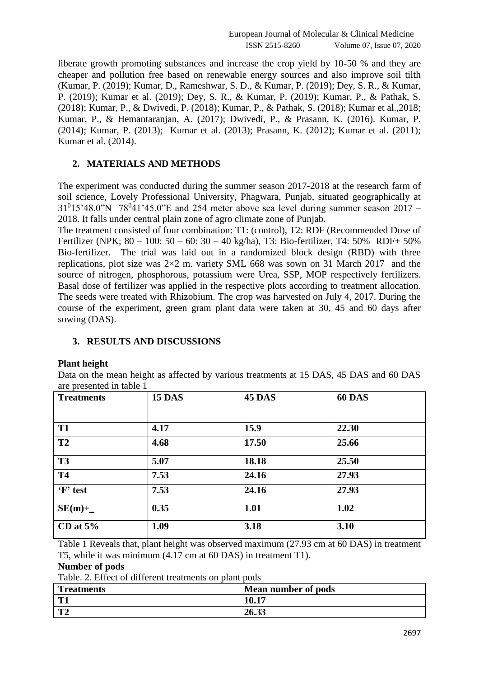liberate growth promoting substances and increase the crop yield by 10-50 % and they are cheaper and pollution free based on renewable energy sources and also improve soil tilth (Kumar, P. (2019); Kumar, D., Rameshwar, S. D., & Kumar, P. (2019); Dey, S. R., & Kumar, P. (2019); Kumar et al. (2019); Dey, S. R., & Kumar, P. (2019); Kumar, P., & Pathak, S. (2018); Kumar, P., & Dwivedi, P. (2018); Kumar, P., & Pathak, S. (2018); Kumar et al.,2018; Kumar, P., & Hemantaranjan, A. (2017); Dwivedi, P., & Prasann, K. (2016). Kumar, P. (2014); Kumar, P. (2013); Kumar et al. (2013); Prasann, K. (2012); Kumar et al. (2011); Kumar et al. (2014).

# **2. MATERIALS AND METHODS**

The experiment was conducted during the summer season 2017-2018 at the research farm of soil science, Lovely Professional University, Phagwara, Punjab, situated geographically at  $31<sup>0</sup>15'48.0"$ N  $78<sup>0</sup>41'45.0"$ E and 254 meter above sea level during summer season 2017 – 2018. It falls under central plain zone of agro climate zone of Punjab.

The treatment consisted of four combination: T1: (control), T2: RDF (Recommended Dose of Fertilizer (NPK; 80 – 100: 50 – 60: 30 – 40 kg/ha), T3: Bio-fertilizer, T4: 50% RDF+ 50% Bio-fertilizer. The trial was laid out in a randomized block design (RBD) with three replications, plot size was  $2\times2$  m. variety SML 668 was sown on 31 March 2017 and the source of nitrogen, phosphorous, potassium were Urea, SSP, MOP respectively fertilizers. Basal dose of fertilizer was applied in the respective plots according to treatment allocation. The seeds were treated with Rhizobium. The crop was harvested on July 4, 2017. During the course of the experiment, green gram plant data were taken at 30, 45 and 60 days after sowing (DAS).

## **3. RESULTS AND DISCUSSIONS**

### **Plant height**

Data on the mean height as affected by various treatments at 15 DAS, 45 DAS and 60 DAS are presented in table 1

| <b>Treatments</b> | <b>15 DAS</b> | <b>45 DAS</b> | <b>60 DAS</b> |
|-------------------|---------------|---------------|---------------|
|                   |               |               |               |
| <b>T1</b>         | 4.17          | 15.9          | 22.30         |
| <b>T2</b>         | 4.68          | 17.50         | 25.66         |
| <b>T3</b>         | 5.07          | 18.18         | 25.50         |
| <b>T4</b>         | 7.53          | 24.16         | 27.93         |
| 'F' test          | 7.53          | 24.16         | 27.93         |
| $SE(m)+$          | 0.35          | 1.01          | 1.02          |
| CD at $5\%$       | 1.09          | 3.18          | 3.10          |

Table 1 Reveals that, plant height was observed maximum (27.93 cm at 60 DAS) in treatment T5, while it was minimum (4.17 cm at 60 DAS) in treatment T1).

**Number of pods**

Table. 2. Effect of different treatments on plant pods

| <b>Treatments</b> | Mean number of pods |
|-------------------|---------------------|
| T1                | 10.17               |
| mл                | 26.33               |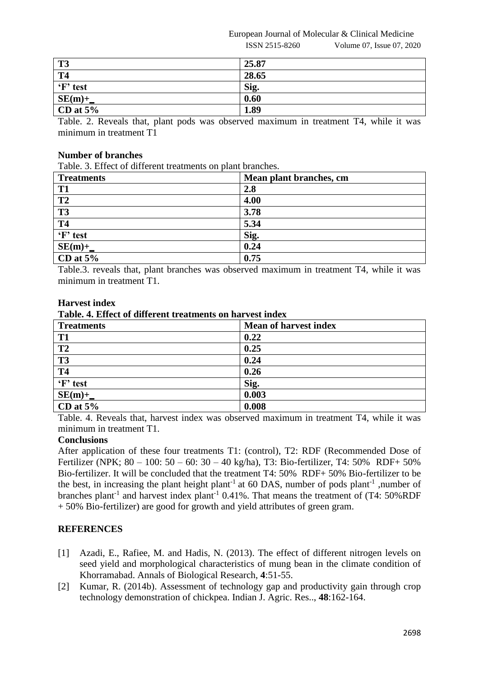European Journal of Molecular & Clinical Medicine

#### ISSN 2515-8260 Volume 07, Issue 07, 2020

| <b>T3</b>   | 25.87 |
|-------------|-------|
| <b>T4</b>   | 28.65 |
| 'F' test    | Sig.  |
| $SE(m)+$    | 0.60  |
| CD at $5\%$ | 1.89  |

Table. 2. Reveals that, plant pods was observed maximum in treatment T4, while it was minimum in treatment T1

# **Number of branches**

Table. 3. Effect of different treatments on plant branches.

| <b>Treatments</b> | Mean plant branches, cm |
|-------------------|-------------------------|
| T <sub>1</sub>    | 2.8                     |
| T <sub>2</sub>    | 4.00                    |
| <b>T3</b>         | 3.78                    |
| <b>T4</b>         | 5.34                    |
| 'F' test          | Sig.                    |
| $SE(m)+$          | 0.24                    |
| CD at $5%$        | 0.75                    |

Table.3. reveals that, plant branches was observed maximum in treatment T4, while it was minimum in treatment T1.

## **Harvest index**

### **Table. 4. Effect of different treatments on harvest index**

| <b>Treatments</b>      | <b>Mean of harvest index</b> |
|------------------------|------------------------------|
| T <sub>1</sub>         | 0.22                         |
| T <sub>2</sub>         | 0.25                         |
| $\overline{\text{T3}}$ | 0.24                         |
| <b>T4</b>              | 0.26                         |
| 'F' test               | Sig.                         |
| $SE(m)+$               | 0.003                        |
| CD at $5%$             | 0.008                        |

Table. 4. Reveals that, harvest index was observed maximum in treatment T4, while it was minimum in treatment T1.

## **Conclusions**

After application of these four treatments T1: (control), T2: RDF (Recommended Dose of Fertilizer (NPK; 80 – 100: 50 – 60: 30 – 40 kg/ha), T3: Bio-fertilizer, T4: 50% RDF+ 50% Bio-fertilizer. It will be concluded that the treatment T4: 50% RDF+ 50% Bio-fertilizer to be the best, in increasing the plant height plant<sup>-1</sup> at 60 DAS, number of pods plant<sup>-1</sup> ,number of branches plant<sup>-1</sup> and harvest index plant<sup>-1</sup> 0.41%. That means the treatment of  $(T4: 50\%RDF)$ + 50% Bio-fertilizer) are good for growth and yield attributes of green gram.

## **REFERENCES**

- [1] Azadi, E., Rafiee, M. and Hadis, N. (2013). The effect of different nitrogen levels on seed yield and morphological characteristics of mung bean in the climate condition of Khorramabad. Annals of Biological Research, **4**:51-55.
- [2] Kumar, R. (2014b). Assessment of technology gap and productivity gain through crop technology demonstration of chickpea. Indian J. Agric. Res.., **48**:162-164.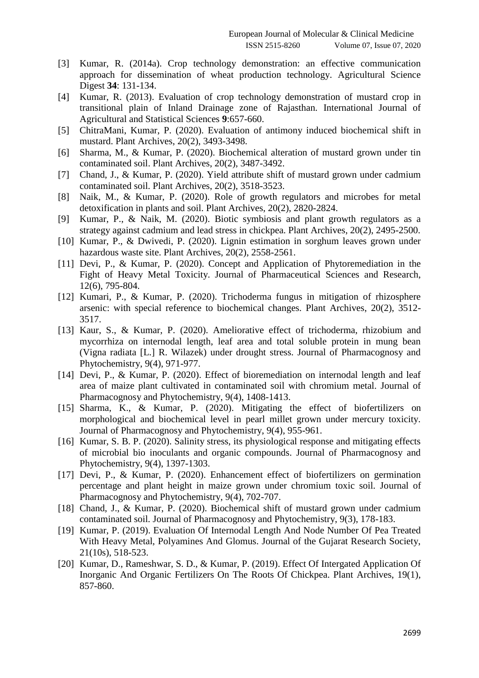- [3] Kumar, R. (2014a). Crop technology demonstration: an effective communication approach for dissemination of wheat production technology. Agricultural Science Digest **34**: 131-134.
- [4] Kumar, R. (2013). Evaluation of crop technology demonstration of mustard crop in transitional plain of Inland Drainage zone of Rajasthan. International Journal of Agricultural and Statistical Sciences **9**:657-660.
- [5] ChitraMani, Kumar, P. (2020). Evaluation of antimony induced biochemical shift in mustard. Plant Archives, 20(2), 3493-3498.
- [6] Sharma, M., & Kumar, P. (2020). Biochemical alteration of mustard grown under tin contaminated soil. Plant Archives, 20(2), 3487-3492.
- [7] Chand, J., & Kumar, P. (2020). Yield attribute shift of mustard grown under cadmium contaminated soil. Plant Archives, 20(2), 3518-3523.
- [8] Naik, M., & Kumar, P. (2020). Role of growth regulators and microbes for metal detoxification in plants and soil. Plant Archives, 20(2), 2820-2824.
- [9] Kumar, P., & Naik, M. (2020). Biotic symbiosis and plant growth regulators as a strategy against cadmium and lead stress in chickpea. Plant Archives, 20(2), 2495-2500.
- [10] Kumar, P., & Dwivedi, P. (2020). Lignin estimation in sorghum leaves grown under hazardous waste site. Plant Archives, 20(2), 2558-2561.
- [11] Devi, P., & Kumar, P. (2020). Concept and Application of Phytoremediation in the Fight of Heavy Metal Toxicity. Journal of Pharmaceutical Sciences and Research, 12(6), 795-804.
- [12] Kumari, P., & Kumar, P. (2020). Trichoderma fungus in mitigation of rhizosphere arsenic: with special reference to biochemical changes. Plant Archives, 20(2), 3512- 3517.
- [13] Kaur, S., & Kumar, P. (2020). Ameliorative effect of trichoderma, rhizobium and mycorrhiza on internodal length, leaf area and total soluble protein in mung bean (Vigna radiata [L.] R. Wilazek) under drought stress. Journal of Pharmacognosy and Phytochemistry, 9(4), 971-977.
- [14] Devi, P., & Kumar, P. (2020). Effect of bioremediation on internodal length and leaf area of maize plant cultivated in contaminated soil with chromium metal. Journal of Pharmacognosy and Phytochemistry, 9(4), 1408-1413.
- [15] Sharma, K., & Kumar, P. (2020). Mitigating the effect of biofertilizers on morphological and biochemical level in pearl millet grown under mercury toxicity. Journal of Pharmacognosy and Phytochemistry, 9(4), 955-961.
- [16] Kumar, S. B. P. (2020). Salinity stress, its physiological response and mitigating effects of microbial bio inoculants and organic compounds. Journal of Pharmacognosy and Phytochemistry, 9(4), 1397-1303.
- [17] Devi, P., & Kumar, P. (2020). Enhancement effect of biofertilizers on germination percentage and plant height in maize grown under chromium toxic soil. Journal of Pharmacognosy and Phytochemistry, 9(4), 702-707.
- [18] Chand, J., & Kumar, P. (2020). Biochemical shift of mustard grown under cadmium contaminated soil. Journal of Pharmacognosy and Phytochemistry, 9(3), 178-183.
- [19] Kumar, P. (2019). Evaluation Of Internodal Length And Node Number Of Pea Treated With Heavy Metal, Polyamines And Glomus. Journal of the Gujarat Research Society, 21(10s), 518-523.
- [20] Kumar, D., Rameshwar, S. D., & Kumar, P. (2019). Effect Of Intergated Application Of Inorganic And Organic Fertilizers On The Roots Of Chickpea. Plant Archives, 19(1), 857-860.